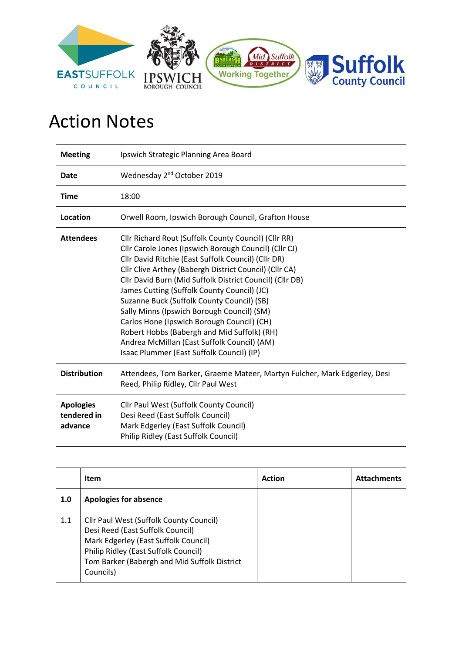

## Action Notes

| <b>Meeting</b>                             | Ipswich Strategic Planning Area Board                                                                                                                                                                                                                                                                                                                                                                                                                                                                                                                                                                                          |
|--------------------------------------------|--------------------------------------------------------------------------------------------------------------------------------------------------------------------------------------------------------------------------------------------------------------------------------------------------------------------------------------------------------------------------------------------------------------------------------------------------------------------------------------------------------------------------------------------------------------------------------------------------------------------------------|
| <b>Date</b>                                | Wednesday 2 <sup>nd</sup> October 2019                                                                                                                                                                                                                                                                                                                                                                                                                                                                                                                                                                                         |
| <b>Time</b>                                | 18:00                                                                                                                                                                                                                                                                                                                                                                                                                                                                                                                                                                                                                          |
| Location                                   | Orwell Room, Ipswich Borough Council, Grafton House                                                                                                                                                                                                                                                                                                                                                                                                                                                                                                                                                                            |
| <b>Attendees</b>                           | Cllr Richard Rout (Suffolk County Council) (Cllr RR)<br>Cllr Carole Jones (Ipswich Borough Council) (Cllr CJ)<br>Cllr David Ritchie (East Suffolk Council) (Cllr DR)<br>Cllr Clive Arthey (Babergh District Council) (Cllr CA)<br>Cllr David Burn (Mid Suffolk District Council) (Cllr DB)<br>James Cutting (Suffolk County Council) (JC)<br>Suzanne Buck (Suffolk County Council) (SB)<br>Sally Minns (Ipswich Borough Council) (SM)<br>Carlos Hone (Ipswich Borough Council) (CH)<br>Robert Hobbs (Babergh and Mid Suffolk) (RH)<br>Andrea McMillan (East Suffolk Council) (AM)<br>Isaac Plummer (East Suffolk Council) (IP) |
| <b>Distribution</b>                        | Attendees, Tom Barker, Graeme Mateer, Martyn Fulcher, Mark Edgerley, Desi<br>Reed, Philip Ridley, Cllr Paul West                                                                                                                                                                                                                                                                                                                                                                                                                                                                                                               |
| <b>Apologies</b><br>tendered in<br>advance | Cllr Paul West (Suffolk County Council)<br>Desi Reed (East Suffolk Council)<br>Mark Edgerley (East Suffolk Council)<br>Philip Ridley (East Suffolk Council)                                                                                                                                                                                                                                                                                                                                                                                                                                                                    |

|     | <b>Item</b>                                                                                                                                                                                                              | <b>Action</b> | <b>Attachments</b> |
|-----|--------------------------------------------------------------------------------------------------------------------------------------------------------------------------------------------------------------------------|---------------|--------------------|
| 1.0 | <b>Apologies for absence</b>                                                                                                                                                                                             |               |                    |
| 1.1 | Cllr Paul West (Suffolk County Council)<br>Desi Reed (East Suffolk Council)<br>Mark Edgerley (East Suffolk Council)<br>Philip Ridley (East Suffolk Council)<br>Tom Barker (Babergh and Mid Suffolk District<br>Councils) |               |                    |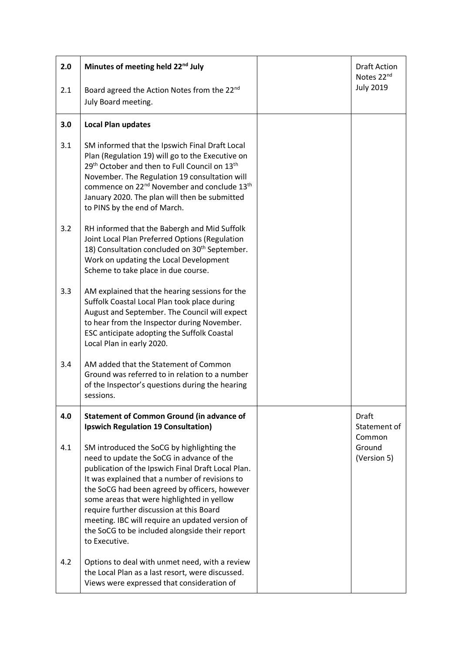| 2.0 | Minutes of meeting held 22 <sup>nd</sup> July                                                                                                                                                                                                                                                                                                                                                                                                                    | <b>Draft Action</b><br>Notes 22nd |
|-----|------------------------------------------------------------------------------------------------------------------------------------------------------------------------------------------------------------------------------------------------------------------------------------------------------------------------------------------------------------------------------------------------------------------------------------------------------------------|-----------------------------------|
| 2.1 | Board agreed the Action Notes from the 22 <sup>nd</sup><br>July Board meeting.                                                                                                                                                                                                                                                                                                                                                                                   | <b>July 2019</b>                  |
| 3.0 | <b>Local Plan updates</b>                                                                                                                                                                                                                                                                                                                                                                                                                                        |                                   |
| 3.1 | SM informed that the Ipswich Final Draft Local<br>Plan (Regulation 19) will go to the Executive on<br>29 <sup>th</sup> October and then to Full Council on 13 <sup>th</sup><br>November. The Regulation 19 consultation will<br>commence on 22 <sup>nd</sup> November and conclude 13 <sup>th</sup><br>January 2020. The plan will then be submitted<br>to PINS by the end of March.                                                                             |                                   |
| 3.2 | RH informed that the Babergh and Mid Suffolk<br>Joint Local Plan Preferred Options (Regulation<br>18) Consultation concluded on 30 <sup>th</sup> September.<br>Work on updating the Local Development<br>Scheme to take place in due course.                                                                                                                                                                                                                     |                                   |
| 3.3 | AM explained that the hearing sessions for the<br>Suffolk Coastal Local Plan took place during<br>August and September. The Council will expect<br>to hear from the Inspector during November.<br>ESC anticipate adopting the Suffolk Coastal<br>Local Plan in early 2020.                                                                                                                                                                                       |                                   |
| 3.4 | AM added that the Statement of Common<br>Ground was referred to in relation to a number<br>of the Inspector's questions during the hearing<br>sessions.                                                                                                                                                                                                                                                                                                          |                                   |
| 4.0 | <b>Statement of Common Ground (in advance of</b><br><b>Ipswich Regulation 19 Consultation)</b>                                                                                                                                                                                                                                                                                                                                                                   | Draft<br>Statement of<br>Common   |
| 4.1 | SM introduced the SoCG by highlighting the<br>need to update the SoCG in advance of the<br>publication of the Ipswich Final Draft Local Plan.<br>It was explained that a number of revisions to<br>the SoCG had been agreed by officers, however<br>some areas that were highlighted in yellow<br>require further discussion at this Board<br>meeting. IBC will require an updated version of<br>the SoCG to be included alongside their report<br>to Executive. | Ground<br>(Version 5)             |
| 4.2 | Options to deal with unmet need, with a review<br>the Local Plan as a last resort, were discussed.<br>Views were expressed that consideration of                                                                                                                                                                                                                                                                                                                 |                                   |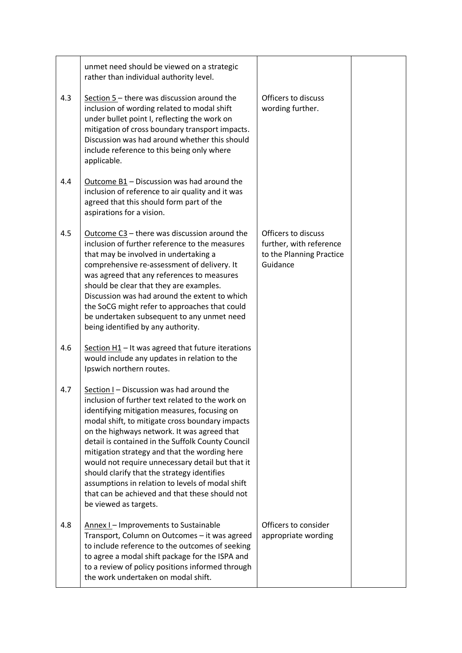|     | unmet need should be viewed on a strategic<br>rather than individual authority level.                                                                                                                                                                                                                                                                                                                                                                                                                                                                                                   |                                                                                        |  |
|-----|-----------------------------------------------------------------------------------------------------------------------------------------------------------------------------------------------------------------------------------------------------------------------------------------------------------------------------------------------------------------------------------------------------------------------------------------------------------------------------------------------------------------------------------------------------------------------------------------|----------------------------------------------------------------------------------------|--|
| 4.3 | Section 5 - there was discussion around the<br>inclusion of wording related to modal shift<br>under bullet point I, reflecting the work on<br>mitigation of cross boundary transport impacts.<br>Discussion was had around whether this should<br>include reference to this being only where<br>applicable.                                                                                                                                                                                                                                                                             | Officers to discuss<br>wording further.                                                |  |
| 4.4 | Outcome B1 - Discussion was had around the<br>inclusion of reference to air quality and it was<br>agreed that this should form part of the<br>aspirations for a vision.                                                                                                                                                                                                                                                                                                                                                                                                                 |                                                                                        |  |
| 4.5 | Outcome $C3$ – there was discussion around the<br>inclusion of further reference to the measures<br>that may be involved in undertaking a<br>comprehensive re-assessment of delivery. It<br>was agreed that any references to measures<br>should be clear that they are examples.<br>Discussion was had around the extent to which<br>the SoCG might refer to approaches that could<br>be undertaken subsequent to any unmet need<br>being identified by any authority.                                                                                                                 | Officers to discuss<br>further, with reference<br>to the Planning Practice<br>Guidance |  |
| 4.6 | Section $H1 - It$ was agreed that future iterations<br>would include any updates in relation to the<br>Ipswich northern routes.                                                                                                                                                                                                                                                                                                                                                                                                                                                         |                                                                                        |  |
| 4.7 | Section I - Discussion was had around the<br>inclusion of further text related to the work on<br>identifying mitigation measures, focusing on<br>modal shift, to mitigate cross boundary impacts<br>on the highways network. It was agreed that<br>detail is contained in the Suffolk County Council<br>mitigation strategy and that the wording here<br>would not require unnecessary detail but that it<br>should clarify that the strategy identifies<br>assumptions in relation to levels of modal shift<br>that can be achieved and that these should not<br>be viewed as targets. |                                                                                        |  |
| 4.8 | Annex I - Improvements to Sustainable<br>Transport, Column on Outcomes - it was agreed<br>to include reference to the outcomes of seeking<br>to agree a modal shift package for the ISPA and<br>to a review of policy positions informed through<br>the work undertaken on modal shift.                                                                                                                                                                                                                                                                                                 | Officers to consider<br>appropriate wording                                            |  |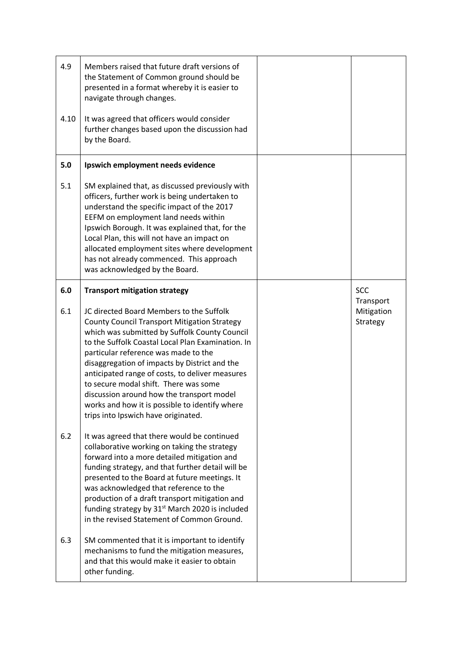| 4.9  | Members raised that future draft versions of<br>the Statement of Common ground should be<br>presented in a format whereby it is easier to<br>navigate through changes.                                                                                                                                                                                                                                                                                                                                                           |                                     |
|------|----------------------------------------------------------------------------------------------------------------------------------------------------------------------------------------------------------------------------------------------------------------------------------------------------------------------------------------------------------------------------------------------------------------------------------------------------------------------------------------------------------------------------------|-------------------------------------|
| 4.10 | It was agreed that officers would consider<br>further changes based upon the discussion had<br>by the Board.                                                                                                                                                                                                                                                                                                                                                                                                                     |                                     |
| 5.0  | Ipswich employment needs evidence                                                                                                                                                                                                                                                                                                                                                                                                                                                                                                |                                     |
| 5.1  | SM explained that, as discussed previously with<br>officers, further work is being undertaken to<br>understand the specific impact of the 2017<br>EEFM on employment land needs within<br>Ipswich Borough. It was explained that, for the<br>Local Plan, this will not have an impact on<br>allocated employment sites where development<br>has not already commenced. This approach<br>was acknowledged by the Board.                                                                                                           |                                     |
| 6.0  | <b>Transport mitigation strategy</b>                                                                                                                                                                                                                                                                                                                                                                                                                                                                                             | <b>SCC</b>                          |
| 6.1  | JC directed Board Members to the Suffolk<br><b>County Council Transport Mitigation Strategy</b><br>which was submitted by Suffolk County Council<br>to the Suffolk Coastal Local Plan Examination. In<br>particular reference was made to the<br>disaggregation of impacts by District and the<br>anticipated range of costs, to deliver measures<br>to secure modal shift. There was some<br>discussion around how the transport model<br>works and how it is possible to identify where<br>trips into Ipswich have originated. | Transport<br>Mitigation<br>Strategy |
| 6.2  | It was agreed that there would be continued<br>collaborative working on taking the strategy<br>forward into a more detailed mitigation and<br>funding strategy, and that further detail will be<br>presented to the Board at future meetings. It<br>was acknowledged that reference to the<br>production of a draft transport mitigation and<br>funding strategy by 31 <sup>st</sup> March 2020 is included<br>in the revised Statement of Common Ground.                                                                        |                                     |
| 6.3  | SM commented that it is important to identify<br>mechanisms to fund the mitigation measures,<br>and that this would make it easier to obtain<br>other funding.                                                                                                                                                                                                                                                                                                                                                                   |                                     |